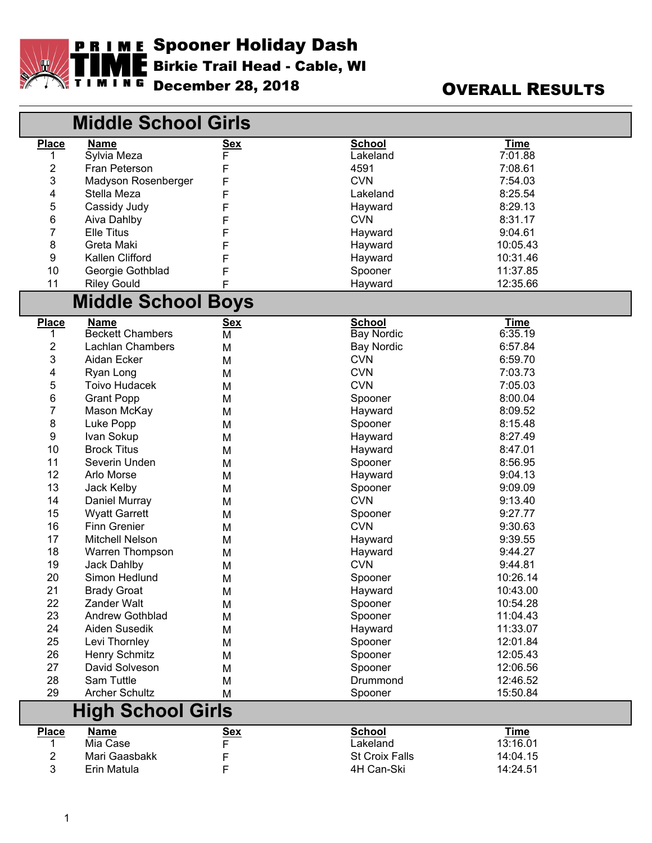

## December 28, 2018 OVERALL RESULTS

|                          | <b>Middle School Girls</b> |            |                       |             |  |  |
|--------------------------|----------------------------|------------|-----------------------|-------------|--|--|
| <b>Place</b>             | <b>Name</b>                | <u>Sex</u> | <b>School</b>         | <b>Time</b> |  |  |
|                          | Sylvia Meza                | F          | Lakeland              | 7:01.88     |  |  |
| 2                        | Fran Peterson              | F          | 4591                  | 7:08.61     |  |  |
| 3                        | Madyson Rosenberger        | F          | <b>CVN</b>            | 7:54.03     |  |  |
| 4                        | Stella Meza                | F          | Lakeland              | 8:25.54     |  |  |
| 5                        | Cassidy Judy               | F          | Hayward               | 8:29.13     |  |  |
| 6                        | Aiva Dahlby                | F          | <b>CVN</b>            | 8:31.17     |  |  |
| $\overline{7}$           | <b>Elle Titus</b>          | F          | Hayward               | 9:04.61     |  |  |
| 8                        | Greta Maki                 | F          | Hayward               | 10:05.43    |  |  |
| 9                        | Kallen Clifford            | F          | Hayward               | 10:31.46    |  |  |
| 10                       | Georgie Gothblad           | F          | Spooner               | 11:37.85    |  |  |
| 11                       | <b>Riley Gould</b>         | F          | Hayward               | 12:35.66    |  |  |
|                          | <b>Middle School Boys</b>  |            |                       |             |  |  |
| <b>Place</b>             | <b>Name</b>                | <u>Sex</u> | <b>School</b>         | <b>Time</b> |  |  |
|                          | <b>Beckett Chambers</b>    | М          | <b>Bay Nordic</b>     | 6:35.19     |  |  |
| 2                        | <b>Lachlan Chambers</b>    | M          | <b>Bay Nordic</b>     | 6:57.84     |  |  |
| 3                        | Aidan Ecker                | М          | <b>CVN</b>            | 6:59.70     |  |  |
| 4                        | Ryan Long                  | М          | <b>CVN</b>            | 7:03.73     |  |  |
| 5                        | <b>Toivo Hudacek</b>       | М          | <b>CVN</b>            | 7:05.03     |  |  |
| 6                        | <b>Grant Popp</b>          | М          | Spooner               | 8:00.04     |  |  |
| 7                        | Mason McKay                | м          | Hayward               | 8:09.52     |  |  |
| 8                        | Luke Popp                  | M          | Spooner               | 8:15.48     |  |  |
| 9                        | Ivan Sokup                 | M          | Hayward               | 8:27.49     |  |  |
| 10                       | <b>Brock Titus</b>         | M          | Hayward               | 8:47.01     |  |  |
| 11                       | Severin Unden              | M          | Spooner               | 8:56.95     |  |  |
| 12                       | Arlo Morse                 | М          | Hayward               | 9:04.13     |  |  |
| 13                       | Jack Kelby                 | M          | Spooner               | 9:09.09     |  |  |
| 14                       | Daniel Murray              | M          | <b>CVN</b>            | 9:13.40     |  |  |
| 15                       | <b>Wyatt Garrett</b>       | M          | Spooner               | 9:27.77     |  |  |
| 16                       | <b>Finn Grenier</b>        | M          | <b>CVN</b>            | 9:30.63     |  |  |
| 17                       | Mitchell Nelson            | M          | Hayward               | 9:39.55     |  |  |
| 18                       | Warren Thompson            | M          | Hayward               | 9:44.27     |  |  |
| 19                       | Jack Dahlby                | M          | <b>CVN</b>            | 9:44.81     |  |  |
| 20                       | Simon Hedlund              | M          | Spooner               | 10:26.14    |  |  |
| 21                       | <b>Brady Groat</b>         | М          | Hayward               | 10:43.00    |  |  |
| 22                       | Zander Walt                | Μ          | Spooner               | 10:54.28    |  |  |
| 23                       | <b>Andrew Gothblad</b>     | M          | Spooner               | 11:04.43    |  |  |
| 24                       | Aiden Susedik              | М          | Hayward               | 11:33.07    |  |  |
| 25                       | Levi Thornley              | М          | Spooner               | 12:01.84    |  |  |
| 26                       | Henry Schmitz              | М          | Spooner               | 12:05.43    |  |  |
| 27                       | David Solveson             | М          | Spooner               | 12:06.56    |  |  |
| 28                       | Sam Tuttle                 | М          | Drummond              | 12:46.52    |  |  |
| 29                       | <b>Archer Schultz</b>      | M          | Spooner               | 15:50.84    |  |  |
| <b>High School Girls</b> |                            |            |                       |             |  |  |
| <b>Place</b>             | <b>Name</b>                | <u>Sex</u> | <b>School</b>         | <u>Time</u> |  |  |
|                          | Mia Case                   | F          | Lakeland              | 13:16.01    |  |  |
| 2                        | Mari Gaasbakk              | F          | <b>St Croix Falls</b> | 14:04.15    |  |  |
| 3                        | Erin Matula                | F          | 4H Can-Ski            | 14:24.51    |  |  |